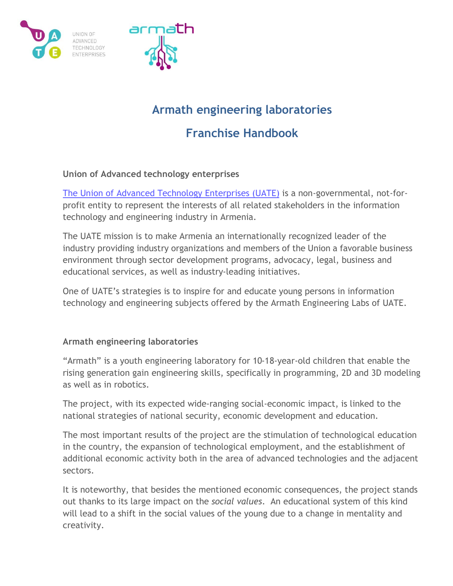



# **Armath engineering laboratories**

# **Franchise Handbook**

# **Union of Advanced technology enterprises**

[The Union of Advanced Technology Enterprises](https://uate.org/) (UATE) is a non-governmental, not-forprofit entity to represent the interests of all related stakeholders in the information technology and engineering industry in Armenia.

The UATE mission is to make Armenia an internationally recognized leader of the industry providing industry organizations and members of the Union a favorable business environment through sector development programs, advocacy, legal, business and educational services, as well as industry-leading initiatives.

One of UATE's strategies is to inspire for and educate young persons in information technology and engineering subjects offered by the Armath Engineering Labs of UATE.

# **Armath engineering laboratories**

"Armath" is a youth engineering laboratory for 10-18-year-old children that enable the rising generation gain engineering skills, specifically in programming, 2D and 3D modeling as well as in robotics.

The project, with its expected wide-ranging social-economic impact, is linked to the national strategies of national security, economic development and education.

The most important results of the project are the stimulation of technological education in the country, the expansion of technological employment, and the establishment of additional economic activity both in the area of advanced technologies and the adjacent sectors.

It is noteworthy, that besides the mentioned economic consequences, the project stands out thanks to its large impact on the *social values*. An educational system of this kind will lead to a shift in the social values of the young due to a change in mentality and creativity.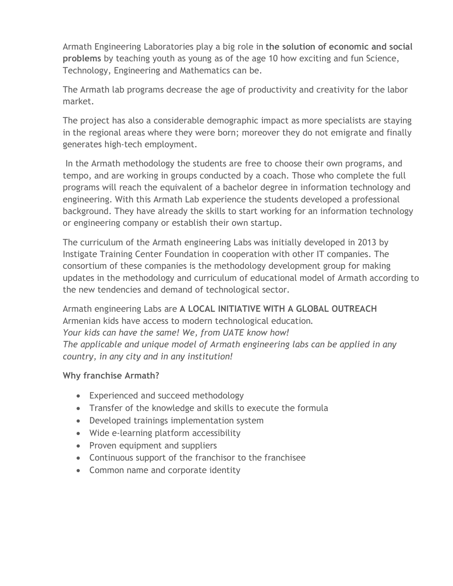Armath Engineering Laboratories play a big role in **the solution of economic and social problems** by teaching youth as young as of the age 10 how exciting and fun Science, Technology, Engineering and Mathematics can be.

The Armath lab programs decrease the age of productivity and creativity for the labor market.

The project has also a considerable demographic impact as more specialists are staying in the regional areas where they were born; moreover they do not emigrate and finally generates high-tech employment.

In the Armath methodology the students are free to choose their own programs, and tempo, and are working in groups conducted by a coach. Those who complete the full programs will reach the equivalent of a bachelor degree in information technology and engineering. With this Armath Lab experience the students developed a professional background. They have already the skills to start working for an information technology or engineering company or establish their own startup.

The curriculum of the Armath engineering Labs was initially developed in 2013 by Instigate Training Center Foundation in cooperation with other IT companies. The consortium of these companies is the methodology development group for making updates in the methodology and curriculum of educational model of Armath according to the new tendencies and demand of technological sector.

Armath engineering Labs are **A LOCAL INITIATIVE WITH A GLOBAL OUTREACH** Armenian kids have access to modern technological education. *Your kids can have the same! We, from UATE know how! The applicable and unique model of Armath engineering labs can be applied in any country, in any city and in any institution!*

# **Why franchise Armath?**

- Experienced and succeed methodology
- Transfer of the knowledge and skills to execute the formula
- Developed trainings implementation system
- Wide e-learning platform accessibility
- Proven equipment and suppliers
- Continuous support of the franchisor to the franchisee
- Common name and corporate identity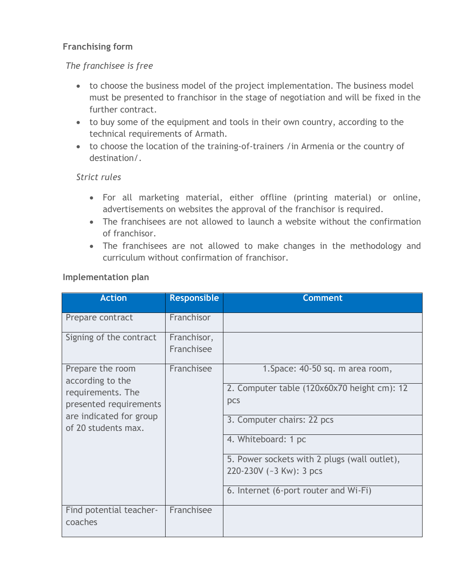# **Franchising form**

# *The franchisee is free*

- to choose the business model of the project implementation. The business model must be presented to franchisor in the stage of negotiation and will be fixed in the further contract.
- to buy some of the equipment and tools in their own country, according to the technical requirements of Armath.
- to choose the location of the training-of-trainers /in Armenia or the country of destination/.

#### *Strict rules*

- For all marketing material, either offline (printing material) or online, advertisements on websites the approval of the franchisor is required.
- The franchisees are not allowed to launch a website without the confirmation of franchisor.
- The franchisees are not allowed to make changes in the methodology and curriculum without confirmation of franchisor.

|  |  | Implementation plan |
|--|--|---------------------|
|  |  |                     |

| <b>Action</b>                                                                       | <b>Responsible</b>        | <b>Comment</b>                                                                         |
|-------------------------------------------------------------------------------------|---------------------------|----------------------------------------------------------------------------------------|
| Prepare contract                                                                    | Franchisor                |                                                                                        |
| Signing of the contract                                                             | Franchisor,<br>Franchisee |                                                                                        |
| Prepare the room<br>according to the<br>requirements. The<br>presented requirements | Franchisee                | 1. Space: 40-50 sq. m area room,<br>2. Computer table (120x60x70 height cm): 12<br>pcs |
| are indicated for group<br>of 20 students max.                                      |                           | 3. Computer chairs: 22 pcs<br>4. Whiteboard: 1 pc                                      |
|                                                                                     |                           | 5. Power sockets with 2 plugs (wall outlet),<br>220-230V (~3 Kw): 3 pcs                |
|                                                                                     |                           | 6. Internet (6-port router and Wi-Fi)                                                  |
| Find potential teacher-<br>coaches                                                  | Franchisee                |                                                                                        |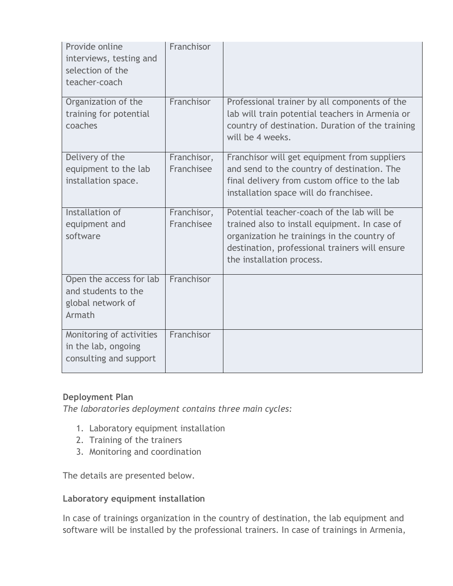| Provide online<br>interviews, testing and<br>selection of the<br>teacher-coach | Franchisor                |                                                                                                                                                                                                                           |
|--------------------------------------------------------------------------------|---------------------------|---------------------------------------------------------------------------------------------------------------------------------------------------------------------------------------------------------------------------|
| Organization of the<br>training for potential<br>coaches                       | Franchisor                | Professional trainer by all components of the<br>lab will train potential teachers in Armenia or<br>country of destination. Duration of the training<br>will be 4 weeks.                                                  |
| Delivery of the<br>equipment to the lab<br>installation space.                 | Franchisor,<br>Franchisee | Franchisor will get equipment from suppliers<br>and send to the country of destination. The<br>final delivery from custom office to the lab<br>installation space will do franchisee.                                     |
| Installation of<br>equipment and<br>software                                   | Franchisor,<br>Franchisee | Potential teacher-coach of the lab will be<br>trained also to install equipment. In case of<br>organization he trainings in the country of<br>destination, professional trainers will ensure<br>the installation process. |
| Open the access for lab<br>and students to the<br>global network of<br>Armath  | Franchisor                |                                                                                                                                                                                                                           |
| Monitoring of activities<br>in the lab, ongoing<br>consulting and support      | Franchisor                |                                                                                                                                                                                                                           |

# **Deployment Plan**

*The laboratories deployment contains three main cycles:*

- 1. Laboratory equipment installation
- 2. Training of the trainers
- 3. Monitoring and coordination

The details are presented below.

#### **Laboratory equipment installation**

In case of trainings organization in the country of destination, the lab equipment and software will be installed by the professional trainers. In case of trainings in Armenia,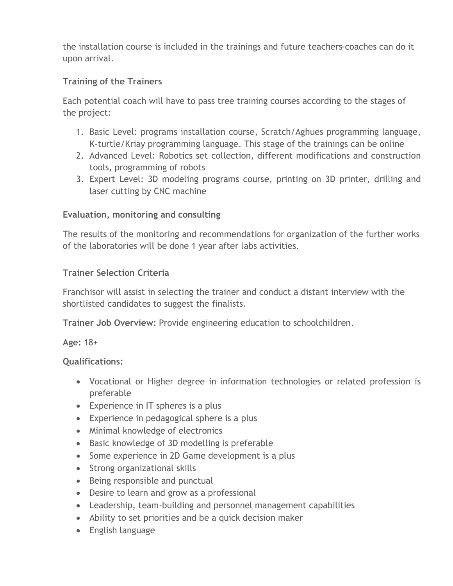the installation course is included in the trainings and future teachers-coaches can do it upon arrival.

# **Training of the Trainers**

Each potential coach will have to pass tree training courses according to the stages of the project:

- 1. Basic Level: programs installation course, Scratch/Aghues programming language, K-turtle/Kriay programming language. This stage of the trainings can be online
- 2. Advanced Level: Robotics set collection, different modifications and construction tools, programming of robots
- 3. Expert Level: 3D modeling programs course, printing on 3D printer, drilling and laser cutting by CNC machine

# **Evaluation, monitoring and consulting**

The results of the monitoring and recommendations for organization of the further works of the laboratories will be done 1 year after labs activities.

# **Trainer Selection Criteria**

Franchisor will assist in selecting the trainer and conduct a distant interview with the shortlisted candidates to suggest the finalists.

**Trainer Job Overview:** Provide engineering education to schoolchildren.

**Age:** 18+

# **Qualifications:**

- Vocational or Higher degree in information technologies or related profession is preferable
- Experience in IT spheres is a plus
- Experience in pedagogical sphere is a plus
- Minimal knowledge of electronics
- Basic knowledge of 3D modelling is preferable
- Some experience in 2D Game development is a plus
- Strong organizational skills
- Being responsible and punctual
- Desire to learn and grow as a professional
- Leadership, team-building and personnel management capabilities
- Ability to set priorities and be a quick decision maker
- English language